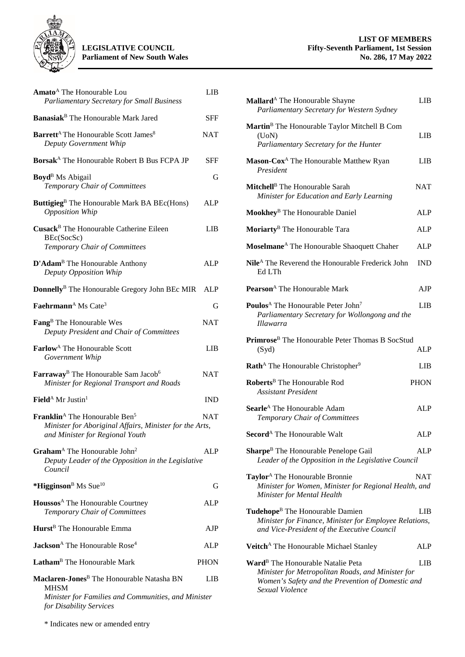

| Amato <sup>A</sup> The Honourable Lou<br><b>Parliamentary Secretary for Small Business</b>                                                                 | <b>LIB</b>  |
|------------------------------------------------------------------------------------------------------------------------------------------------------------|-------------|
| Banasiak <sup>B</sup> The Honourable Mark Jared                                                                                                            | SFF         |
| <b>Barrett<sup>A</sup></b> The Honourable Scott James <sup>8</sup><br>Deputy Government Whip                                                               | <b>NAT</b>  |
| Borsak <sup>A</sup> The Honourable Robert B Bus FCPA JP                                                                                                    | SFF         |
| <b>Boyd</b> <sup>B</sup> Ms Abigail<br>Temporary Chair of Committees                                                                                       | G           |
| Buttigieg <sup>B</sup> The Honourable Mark BA BEc(Hons)<br><b>Opposition Whip</b>                                                                          | <b>ALP</b>  |
| Cusack <sup>B</sup> The Honourable Catherine Eileen<br>BEc(SocSc)<br>Temporary Chair of Committees                                                         | LIB         |
| D'Adam <sup>B</sup> The Honourable Anthony<br>Deputy Opposition Whip                                                                                       | ALP         |
| Donnelly <sup>B</sup> The Honourable Gregory John BEc MIR                                                                                                  | ALP         |
| Faehrmann <sup>A</sup> Ms Cate <sup>3</sup>                                                                                                                | G           |
| Fang <sup>B</sup> The Honourable Wes<br>Deputy President and Chair of Committees                                                                           | <b>NAT</b>  |
| <b>Farlow</b> <sup>A</sup> The Honourable Scott<br>Government Whip                                                                                         | LIB         |
| Farraway <sup>B</sup> The Honourable Sam Jacob <sup>6</sup><br>Minister for Regional Transport and Roads                                                   | <b>NAT</b>  |
| Field <sup>A</sup> Mr Justin <sup>1</sup>                                                                                                                  | <b>IND</b>  |
| <b>Franklin</b> <sup>A</sup> The Honourable Ben <sup>5</sup><br>Minister for Aboriginal Affairs, Minister for the Arts,<br>and Minister for Regional Youth | <b>NAT</b>  |
| Graham <sup>A</sup> The Honourable John <sup>2</sup><br>Deputy Leader of the Opposition in the Legislative<br>Council                                      | <b>ALP</b>  |
| *Higginson <sup>B</sup> Ms Sue <sup>10</sup>                                                                                                               | G           |
| Houssos <sup>A</sup> The Honourable Courtney<br>Temporary Chair of Committees                                                                              | ALP         |
| Hurst <sup>B</sup> The Honourable Emma                                                                                                                     | AJP         |
| Jackson <sup>A</sup> The Honourable Rose <sup>4</sup>                                                                                                      | <b>ALP</b>  |
| Latham <sup>B</sup> The Honourable Mark                                                                                                                    | <b>PHON</b> |
| Maclaren-Jones <sup>B</sup> The Honourable Natasha BN<br>MHSM                                                                                              | LIB         |
| Minister for Families and Communities, and Minister<br>for Disability Services                                                                             |             |

| Mallard <sup>A</sup> The Honourable Shayne<br>Parliamentary Secretary for Western Sydney                                                                                   | LIB         |
|----------------------------------------------------------------------------------------------------------------------------------------------------------------------------|-------------|
| Martin <sup>B</sup> The Honourable Taylor Mitchell B Com<br>$($ UoN $)$<br>Parliamentary Secretary for the Hunter                                                          | LIB         |
| Mason-Cox <sup>A</sup> The Honourable Matthew Ryan<br>President                                                                                                            | LIB.        |
| Mitchell <sup>B</sup> The Honourable Sarah<br>Minister for Education and Early Learning                                                                                    | <b>NAT</b>  |
| Mookhey <sup>B</sup> The Honourable Daniel                                                                                                                                 | ALP         |
| Moriarty <sup>B</sup> The Honourable Tara                                                                                                                                  | <b>ALP</b>  |
| Moselmane <sup>A</sup> The Honourable Shaoquett Chaher                                                                                                                     | <b>ALP</b>  |
| Nile <sup>A</sup> The Reverend the Honourable Frederick John<br>Ed LTh                                                                                                     | <b>IND</b>  |
| Pearson <sup>A</sup> The Honourable Mark                                                                                                                                   | AJP         |
| Poulos <sup>A</sup> The Honourable Peter John <sup>7</sup><br>Parliamentary Secretary for Wollongong and the<br>Illawarra                                                  | LIB         |
| Primrose <sup>B</sup> The Honourable Peter Thomas B SocStud<br>(Syd)                                                                                                       | <b>ALP</b>  |
| Rath <sup>A</sup> The Honourable Christopher <sup>9</sup>                                                                                                                  | LIB         |
| Roberts <sup>B</sup> The Honourable Rod<br><b>Assistant President</b>                                                                                                      | <b>PHON</b> |
| <b>Searle</b> <sup>A</sup> The Honourable Adam<br>Temporary Chair of Committees                                                                                            | <b>ALP</b>  |
| <b>Secord</b> <sup>A</sup> The Honourable Walt                                                                                                                             | <b>ALP</b>  |
| <b>Sharpe</b> <sup>B</sup> The Honourable Penelope Gail<br>Leader of the Opposition in the Legislative Council                                                             | ALP         |
| Taylor <sup>A</sup> The Honourable Bronnie<br>Minister for Women, Minister for Regional Health, and<br>Minister for Mental Health                                          | NAT         |
| Tudehope <sup>B</sup> The Honourable Damien<br>Minister for Finance, Minister for Employee Relations,<br>and Vice-President of the Executive Council                       | LIB         |
| Veitch <sup>A</sup> The Honourable Michael Stanley                                                                                                                         | ALP         |
| Ward <sup>B</sup> The Honourable Natalie Peta<br>Minister for Metropolitan Roads, and Minister for<br>Women's Safety and the Prevention of Domestic and<br>Sexual Violence | LIB         |